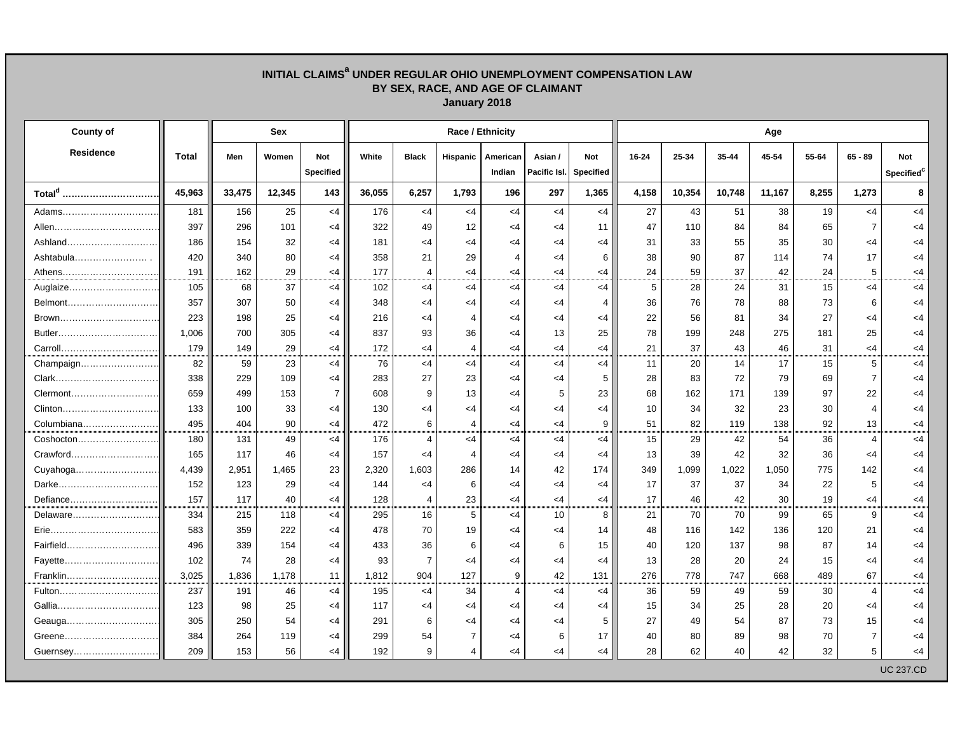## **INITIAL CLAIMSa UNDER REGULAR OHIO UNEMPLOYMENT COMPENSATION LAW BY SEX, RACE, AND AGE OF CLAIMANT January 2018**

| <b>County of</b>   |              | Sex    |        |                         |        |                |                | Race / Ethnicity   |                         |                         | Age   |        |        |        |       |                |                                      |  |  |
|--------------------|--------------|--------|--------|-------------------------|--------|----------------|----------------|--------------------|-------------------------|-------------------------|-------|--------|--------|--------|-------|----------------|--------------------------------------|--|--|
| <b>Residence</b>   | <b>Total</b> | Men    | Women  | Not<br><b>Specified</b> | White  | <b>Black</b>   | Hispanic       | American<br>Indian | Asian /<br>Pacific Isl. | Not<br><b>Specified</b> | 16-24 | 25-34  | 35-44  | 45-54  | 55-64 | $65 - 89$      | <b>Not</b><br>Specified <sup>c</sup> |  |  |
| Total <sup>d</sup> | 45,963       | 33,475 | 12,345 | 143                     | 36,055 | 6,257          | 1,793          | 196                | 297                     | 1,365                   | 4,158 | 10,354 | 10,748 | 11,167 | 8,255 | 1,273          | 8                                    |  |  |
| Adams              | 181          | 156    | 25     | $<$ 4                   | 176    | $<$ 4          | $<$ 4          | $<$ 4              | $<$ 4                   | $<$ 4                   | 27    | 43     | 51     | 38     | 19    | $<$ 4          | $<$ 4                                |  |  |
|                    | 397          | 296    | 101    | $<$ 4                   | 322    | 49             | 12             | $<$ 4              | $<$ 4                   | 11                      | 47    | 110    | 84     | 84     | 65    | $\overline{7}$ | <4                                   |  |  |
|                    | 186          | 154    | 32     | $<$ 4                   | 181    | $<$ 4          | $<$ 4          | $<$ 4              | $<$ 4                   | <4                      | 31    | 33     | 55     | 35     | 30    | $<$ 4          | $<$ 4                                |  |  |
| Ashtabula          | 420          | 340    | 80     | $<$ 4                   | 358    | 21             | 29             | $\overline{4}$     | $\leq$ 4                | 6                       | 38    | 90     | 87     | 114    | 74    | 17             | $<$ 4                                |  |  |
| Athens             | 191          | 162    | 29     | $<$ 4                   | 177    | $\overline{4}$ | $<$ 4          | <4                 | $<$ 4                   | <4                      | 24    | 59     | 37     | 42     | 24    | 5              | <4                                   |  |  |
| Auglaize           | 105          | 68     | 37     | $<$ 4                   | 102    | <4             | $<$ 4          | <4                 | $<$ 4                   | <4                      | 5     | 28     | 24     | 31     | 15    | $<$ 4          | $<$ 4                                |  |  |
|                    | 357          | 307    | 50     | $<$ 4                   | 348    | $<$ 4          | $<$ 4          | $<$ 4              | $<$ 4                   | $\overline{4}$          | 36    | 76     | 78     | 88     | 73    | 6              | $<$ 4                                |  |  |
| Brown              | 223          | 198    | 25     | $<$ 4                   | 216    | $<$ 4          | $\overline{4}$ | $<$ 4              | $<$ 4                   | <4                      | 22    | 56     | 81     | 34     | 27    | <4             | <4                                   |  |  |
|                    | 1,006        | 700    | 305    | $<$ 4                   | 837    | 93             | 36             | $<$ 4              | 13                      | 25                      | 78    | 199    | 248    | 275    | 181   | 25             | $<$ 4                                |  |  |
| Carroll            | 179          | 149    | 29     | $<$ 4                   | 172    | $<$ 4          | $\overline{4}$ | $<$ 4              | $<$ 4                   | <4                      | 21    | 37     | 43     | 46     | 31    | <4             | <4                                   |  |  |
| Champaign          | 82           | 59     | 23     | $<$ 4                   | 76     | <4             | $<$ 4          | $<$ 4              | $<$ 4                   | $<$ 4                   | 11    | 20     | 14     | 17     | 15    | 5              | $<$ 4                                |  |  |
|                    | 338          | 229    | 109    | $\leq$ 4                | 283    | 27             | 23             | $<$ 4              | $\leq$ 4                | 5                       | 28    | 83     | 72     | 79     | 69    | $\overline{7}$ | <4                                   |  |  |
| Clermont           | 659          | 499    | 153    | $\overline{7}$          | 608    | 9              | 13             | $<$ 4              | 5                       | 23                      | 68    | 162    | 171    | 139    | 97    | 22             | <4                                   |  |  |
| Clinton            | 133          | 100    | 33     | $<$ 4                   | 130    | $<$ 4          | $<$ 4          | $<$ 4              | $<$ 4                   | $<$ 4                   | 10    | 34     | 32     | 23     | 30    | 4              | $<$ 4                                |  |  |
| Columbiana         | 495          | 404    | 90     | $\leq$ 4                | 472    | 6              | 4              | $<$ 4              | $<$ 4                   | 9                       | 51    | 82     | 119    | 138    | 92    | 13             | <4                                   |  |  |
| Coshocton          | 180          | 131    | 49     | $<$ 4                   | 176    | $\overline{4}$ | $<$ 4          | $<$ 4              | $<$ 4                   | <4                      | 15    | 29     | 42     | 54     | 36    | 4              | $<$ 4                                |  |  |
| Crawford           | 165          | 117    | 46     | $<$ 4                   | 157    | <4             | $\overline{4}$ | $<$ 4              | $<$ 4                   | <4                      | 13    | 39     | 42     | 32     | 36    | $<$ 4          | $<$ 4                                |  |  |
| Cuyahoga           | 4,439        | 2,951  | 1,465  | 23                      | 2,320  | 1,603          | 286            | 14                 | 42                      | 174                     | 349   | 1,099  | 1,022  | 1,050  | 775   | 142            | $<$ 4                                |  |  |
| Darke              | 152          | 123    | 29     | <4                      | 144    | $<$ 4          | 6              | <4                 | $\leq$ 4                | <4                      | 17    | 37     | 37     | 34     | 22    | 5              | <4                                   |  |  |
| Defiance           | 157          | 117    | 40     | $<$ 4                   | 128    | $\overline{4}$ | 23             | $<$ 4              | $<$ 4                   | <4                      | 17    | 46     | 42     | 30     | 19    | $<$ 4          | <4                                   |  |  |
| Delaware           | 334          | 215    | 118    | $<$ 4                   | 295    | 16             | 5              | <4                 | 10                      | 8                       | 21    | 70     | 70     | 99     | 65    | 9              | $<$ 4                                |  |  |
|                    | 583          | 359    | 222    | $<$ 4                   | 478    | 70             | 19             | $<$ 4              | $<$ 4                   | 14                      | 48    | 116    | 142    | 136    | 120   | 21             | <4                                   |  |  |
| Fairfield          | 496          | 339    | 154    | $\leq$ 4                | 433    | 36             | 6              | $<$ 4              | 6                       | 15                      | 40    | 120    | 137    | 98     | 87    | 14             | $<$ 4                                |  |  |
| Fayette            | 102          | 74     | 28     | $<$ 4                   | 93     | $\overline{7}$ | $<$ 4          | $<$ 4              | $<$ 4                   | $<$ 4                   | 13    | 28     | 20     | 24     | 15    | $<$ 4          | $<$ 4                                |  |  |
| Franklin           | 3,025        | 1,836  | 1,178  | 11                      | 1,812  | 904            | 127            | 9                  | 42                      | 131                     | 276   | 778    | 747    | 668    | 489   | 67             | $<$ 4                                |  |  |
| Fulton             | 237          | 191    | 46     | $<$ 4                   | 195    | <4             | 34             | $\overline{4}$     | $<$ 4                   | $<$ 4                   | 36    | 59     | 49     | 59     | 30    | 4              | $<$ 4                                |  |  |
|                    | 123          | 98     | 25     | $\leq$ 4                | 117    | $<$ 4          | $<$ 4          | <4                 | $<$ 4                   | <4                      | 15    | 34     | 25     | 28     | 20    | $<$ 4          | <4                                   |  |  |
|                    | 305          | 250    | 54     | $<$ 4                   | 291    | 6              | $<$ 4          | $<$ 4              | $\leq$ 4                | 5                       | 27    | 49     | 54     | 87     | 73    | 15             | <4                                   |  |  |
| Greene             | 384          | 264    | 119    | $\leq$ 4                | 299    | 54             | $\overline{7}$ | $<$ 4              | 6                       | 17                      | 40    | 80     | 89     | 98     | 70    | $\overline{7}$ | <4                                   |  |  |
| Guernsey           | 209          | 153    | 56     | $<$ 4                   | 192    | 9              | 4              | $<$ 4              | $<$ 4                   | <4                      | 28    | 62     | 40     | 42     | 32    | 5              | <4                                   |  |  |
|                    |              |        |        |                         |        |                |                |                    |                         |                         |       |        |        |        |       |                | <b>UC 237.CD</b>                     |  |  |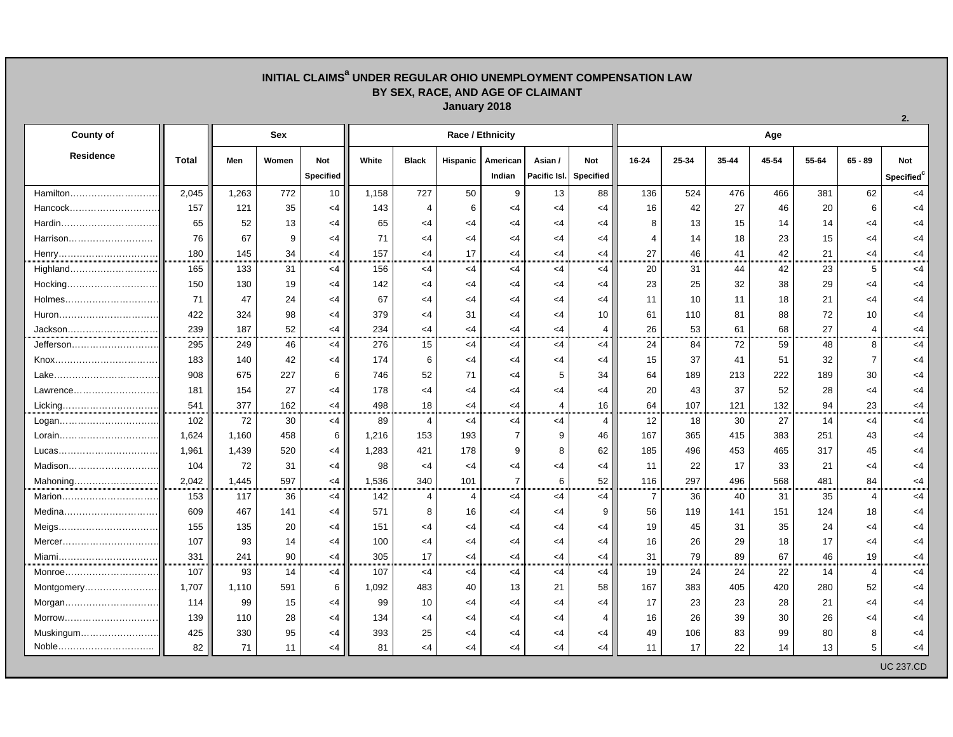## **INITIAL CLAIMSa UNDER REGULAR OHIO UNEMPLOYMENT COMPENSATION LAW BY SEX, RACE, AND AGE OF CLAIMANT January 2018**

| <b>County of</b>  |              | Sex   |       |            | Race / Ethnicity |                |                |                |                        |                |                | Age   |       |       |       |                         |                        |  |  |  |
|-------------------|--------------|-------|-------|------------|------------------|----------------|----------------|----------------|------------------------|----------------|----------------|-------|-------|-------|-------|-------------------------|------------------------|--|--|--|
| <b>Residence</b>  | <b>Total</b> | Men   | Women | <b>Not</b> | White            | <b>Black</b>   | Hispanic       | American       | Asian /                | Not            | $16 - 24$      | 25-34 | 35-44 | 45-54 | 55-64 | $65 - 89$               | <b>Not</b>             |  |  |  |
|                   |              |       |       | Specified  |                  |                |                | Indian         | Pacific Isl. Specified |                |                |       |       |       |       |                         | Specified <sup>c</sup> |  |  |  |
| Hamilton          | 2,045        | 1,263 | 772   | 10         | 1,158            | 727            | 50             | 9              | 13                     | 88             | 136            | 524   | 476   | 466   | 381   | 62                      | $<$ 4                  |  |  |  |
| Hancock           | 157          | 121   | 35    | $\leq$ 4   | 143              | $\overline{4}$ | 6              | $<$ 4          | $<$ 4                  | $<$ 4          | 16             | 42    | 27    | 46    | 20    | 6                       | $<$ 4                  |  |  |  |
| Hardin            | 65           | 52    | 13    | <4         | 65               | $\leq 4$       | <4             | $<$ 4          | <4                     | <4             | 8              | 13    | 15    | 14    | 14    | $<$ 4                   | $\leq$ 4               |  |  |  |
| Harrison          | 76           | 67    | 9     | $<$ 4      | 71               | $<$ 4          | <4             | $\leq 4$       | $<$ 4                  | $<$ 4          | 4              | 14    | 18    | 23    | 15    | $<$ 4                   | <4                     |  |  |  |
| Henry             | 180          | 145   | 34    | $<$ 4      | 157              | $<$ 4          | 17             | $\leq 4$       | $<$ 4                  | $<$ 4          | 27             | 46    | 41    | 42    | 21    | $<$ 4                   | $<$ 4                  |  |  |  |
| Highland          | 165          | 133   | 31    | $<$ 4      | 156              | $<$ 4          | <4             | $<$ 4          | $<$ 4                  | $<$ 4          | 20             | 31    | 44    | 42    | 23    | 5                       | $<$ 4                  |  |  |  |
| Hocking           | 150          | 130   | 19    | $<$ 4      | 142              | $<$ 4          | $<$ 4          | $<$ 4          | <4                     | $<$ 4          | 23             | 25    | 32    | 38    | 29    | $<$ 4                   | $<$ 4                  |  |  |  |
| Holmes            | 71           | 47    | 24    | $<$ 4      | 67               | $\leq 4$       | $<$ 4          | $<$ 4          | <4                     | <4             | 11             | 10    | 11    | 18    | 21    | $<$ 4                   | <4                     |  |  |  |
|                   | 422          | 324   | 98    | $<$ 4      | 379              | $<$ 4          | 31             | $<$ 4          | $<$ 4                  | 10             | 61             | 110   | 81    | 88    | 72    | 10                      | $<$ 4                  |  |  |  |
| Jackson           | 239          | 187   | 52    | $<$ 4      | 234              | $<$ 4          | $<$ 4          | $<$ 4          | $<$ 4                  | 4              | 26             | 53    | 61    | 68    | 27    | $\overline{4}$          | $<$ 4                  |  |  |  |
| Jefferson         | 295          | 249   | 46    | $<$ 4      | 276              | 15             | <4             | $<$ 4          | $<$ 4                  | $<$ 4          | 24             | 84    | 72    | 59    | 48    | 8                       | $<$ 4                  |  |  |  |
|                   | 183          | 140   | 42    | $<$ 4      | 174              | 6              | $<$ 4          | $<$ 4          | $<$ 4                  | $<$ 4          | 15             | 37    | 41    | 51    | 32    | $\overline{7}$          | $<$ 4                  |  |  |  |
|                   | 908          | 675   | 227   | 6          | 746              | 52             | 71             | $<$ 4          | 5                      | 34             | 64             | 189   | 213   | 222   | 189   | 30                      | $<$ 4                  |  |  |  |
| Lawrence          | 181          | 154   | 27    | $<$ 4      | 178              | $<$ 4          | $<$ 4          | $<$ 4          | $<$ 4                  | $<$ 4          | 20             | 43    | 37    | 52    | 28    | <4                      | <4                     |  |  |  |
| Licking           | 541          | 377   | 162   | $<$ 4      | 498              | 18             | $<$ 4          | $<$ 4          | $\overline{4}$         | 16             | 64             | 107   | 121   | 132   | 94    | 23                      | $<$ 4                  |  |  |  |
| Logan             | 102          | 72    | 30    | $<$ 4      | 89               | $\overline{4}$ | <4             | $<$ 4          | $<$ 4                  | 4              | 12             | 18    | 30    | 27    | 14    | $<$ 4                   | $<$ 4                  |  |  |  |
|                   | 1,624        | 1.160 | 458   | 6          | 1,216            | 153            | 193            | $\overline{7}$ | 9                      | 46             | 167            | 365   | 415   | 383   | 251   | 43                      | $\leq$ 4               |  |  |  |
| Lucas……………………………… | 1,961        | 1,439 | 520   | $\leq$ 4   | 1,283            | 421            | 178            | 9              | 8                      | 62             | 185            | 496   | 453   | 465   | 317   | 45                      | $\leq$ 4               |  |  |  |
| Madison           | 104          | 72    | 31    | $<$ 4      | 98               | $<$ 4          | $<$ 4          | $<$ 4          | $<$ 4                  | $<$ 4          | 11             | 22    | 17    | 33    | 21    | $<$ 4                   | <4                     |  |  |  |
| Mahoning          | 2,042        | 1.445 | 597   | $<$ 4      | 1,536            | 340            | 101            | $\overline{7}$ | 6                      | 52             | 116            | 297   | 496   | 568   | 481   | 84                      | $<$ 4                  |  |  |  |
| Marion            | 153          | 117   | 36    | $<$ 4      | 142              | $\overline{4}$ | $\overline{4}$ | $<$ 4          | $<$ 4                  | $<$ 4          | $\overline{7}$ | 36    | 40    | 31    | 35    | $\overline{4}$          | $<$ 4                  |  |  |  |
| Medina            | 609          | 467   | 141   | $<$ 4      | 571              | 8              | 16             | $<$ 4          | $<$ 4                  | 9              | 56             | 119   | 141   | 151   | 124   | 18                      | $<$ 4                  |  |  |  |
| Meigs             | 155          | 135   | 20    | $<$ 4      | 151              | $\leq 4$       | <4             | $<$ 4          | <4                     | <4             | 19             | 45    | 31    | 35    | 24    | <4                      | $<$ 4                  |  |  |  |
| Mercer            | 107          | 93    | 14    | $\leq$ 4   | 100              | $<$ 4          | $<$ 4          | $<$ 4          | $<$ 4                  | $<$ 4          | 16             | 26    | 29    | 18    | 17    | $<$ 4                   | <4                     |  |  |  |
| Miami             | 331          | 241   | 90    | $<$ 4      | 305              | 17             | $<$ 4          | $<$ 4          | $<$ 4                  | $<$ 4          | 31             | 79    | 89    | 67    | 46    | 19                      | $<$ 4                  |  |  |  |
| Monroe            | 107          | 93    | 14    | $<$ 4      | 107              | $<$ 4          | $<$ 4          | $<$ 4          | $<$ 4                  | $<$ 4          | 19             | 24    | 24    | 22    | 14    | $\overline{\mathbf{4}}$ | $<$ 4                  |  |  |  |
| Montgomery        | 1,707        | 1,110 | 591   | 6          | 1,092            | 483            | 40             | 13             | 21                     | 58             | 167            | 383   | 405   | 420   | 280   | 52                      | $<$ 4                  |  |  |  |
|                   | 114          | 99    | 15    | $<$ 4      | 99               | 10             | $<$ 4          | $<$ 4          | $<$ 4                  | $<$ 4          | 17             | 23    | 23    | 28    | 21    | <4                      | $<$ 4                  |  |  |  |
| Morrow            | 139          | 110   | 28    | $<$ 4      | 134              | $<$ 4          | <4             | $<$ 4          | $<$ 4                  | $\overline{4}$ | 16             | 26    | 39    | 30    | 26    | $<$ 4                   | <4                     |  |  |  |
| Muskingum         | 425          | 330   | 95    | $<$ 4      | 393              | 25             | $<$ 4          | $<$ 4          | $<$ 4                  | $<$ 4          | 49             | 106   | 83    | 99    | 80    | 8                       | $<$ 4                  |  |  |  |
| Noble             | 82           | 71    | 11    | $<$ 4      | 81               | <4             | <4             | <4             | $<$ 4                  | <4             | 11             | 17    | 22    | 14    | 13    | 5                       | <4                     |  |  |  |
|                   |              |       |       |            |                  |                |                |                |                        |                |                |       |       |       |       |                         | <b>UC 237.CD</b>       |  |  |  |

**2.**